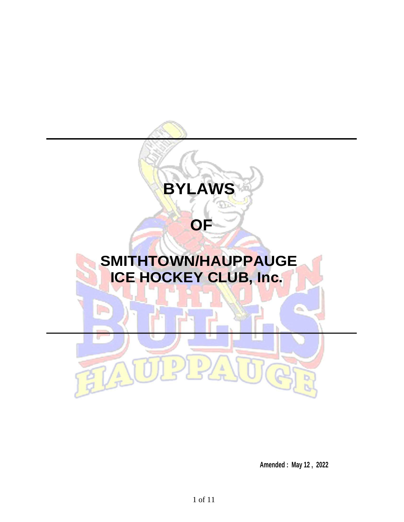

**Amended : May 12 , 2022**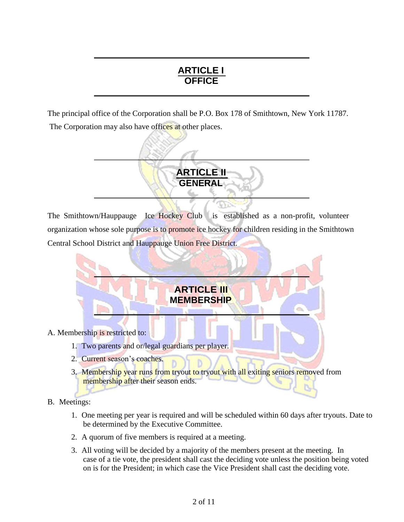# **ARTICLE I OFFICE**

The principal office of the Corporation shall be P.O. Box 178 of Smithtown, New York 11787. The Corporation may also have offices at other places.



The Smithtown/Hauppauge Ice Hockey Club is established as a non-profit, volunteer organization whose sole purpose is to promote ice hockey for children residing in the Smithtown Central School District and Hauppauge Union Free District.



- B. Meetings:
	- 1. One meeting per year is required and will be scheduled within 60 days after tryouts. Date to be determined by the Executive Committee.
	- 2. A quorum of five members is required at a meeting.
	- 3. All voting will be decided by a majority of the members present at the meeting. In case of a tie vote, the president shall cast the deciding vote unless the position being voted on is for the President; in which case the Vice President shall cast the deciding vote.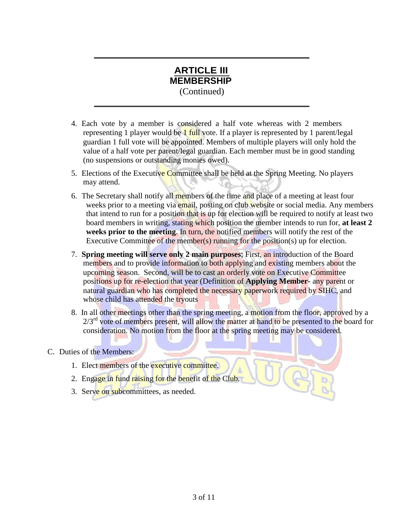### **ARTICLE III MEMBERSHIP** (Continued)

- 4. Each vote by a member is considered a half vote whereas with 2 members representing 1 player would be 1 full vote. If a player is represented by 1 parent/legal guardian 1 full vote will be appointed. Members of multiple players will only hold the value of a half vote per parent/legal guardian. Each member must be in good standing (no suspensions or outstanding monies owed).
- 5. Elections of the Executive Committee shall be held at the Spring Meeting. No players may attend.
- 6. The Secretary shall notify all members of the time and place of a meeting at least four weeks prior to a meeting via email, posting on club website or social media. Any members that intend to run for a position that is up for election will be required to notify at least two board members in writing, stating which position the member intends to run for, **at least 2 weeks prior to the meeting.** In turn, the notified members will notify the rest of the Executive Committee of the member(s) running for the position(s) up for election.
- 7. **Spring meeting will serve only 2 main purposes;** First, an introduction of the Board members and to provide information to both applying and existing members about the upcoming season. Second, will be to cast an orderly vote on Executive Committee positions up for re-election that year (Definition of **Applying Member**- any parent or natural guardian who has completed the necessary paperwork required by SIHC, and whose child has attended the tryouts
- 8. In all other meetings other than the spring meeting, a motion from the floor, approved by a  $2/3<sup>rd</sup>$  vote of members present, will allow the matter at hand to be presented to the board for consideration. No motion from the floor at the spring meeting may be considered.

ST

### C. Duties of the Members:

- 1. Elect members of the executive committee.
- 2. Engage in fund raising for the benefit of the Club.
- 3. Serve on subcommittees, as needed.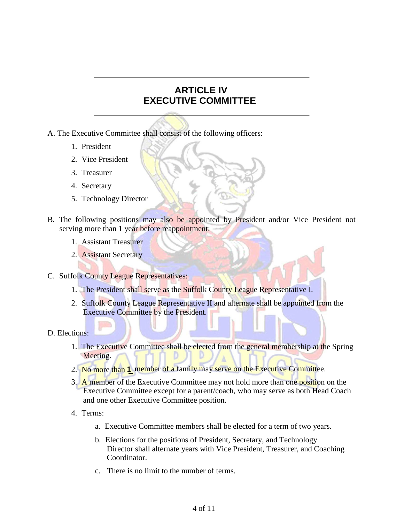## **ARTICLE IV EXECUTIVE COMMITTEE**

- A. The Executive Committee shall consist of the following officers:
	- 1. President
	- 2. Vice President
	- 3. Treasurer
	- 4. Secretary
	- 5. Technology Director
- B. The following positions may also be appointed by President and/or Vice President not serving more than 1 year before reappointment:
	- 1. Assistant Treasurer
	- 2. Assistant Secretary
- C. Suffolk County League Representatives:
	- 1. The President shall serve as the Suffolk County League Representative I.
	- 2. Suffolk County League Representative II and alternate shall be appointed from the Executive Committee by the President.
- D. Elections:
	- 1. The Executive Committee shall be elected from the general membership at the Spring Meeting.
	- 2. No more than **1** member of a family may serve on the Executive Committee.
	- 3. A member of the Executive Committee may not hold more than one position on the Executive Committee except for a parent/coach, who may serve as both Head Coach and one other Executive Committee position.
	- 4. Terms:
		- a. Executive Committee members shall be elected for a term of two years.
		- b. Elections for the positions of President, Secretary, and Technology Director shall alternate years with Vice President, Treasurer, and Coaching Coordinator.
		- c. There is no limit to the number of terms.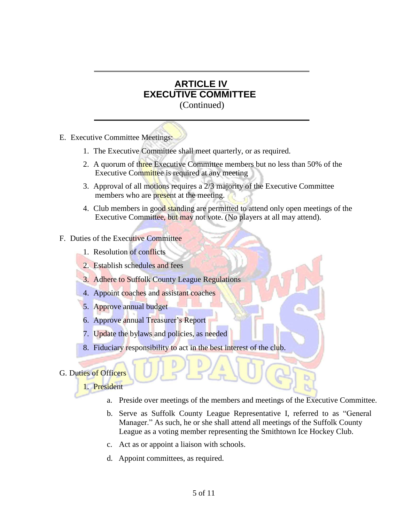E. Executive Committee Meetings:

- 1. The Executive Committee shall meet quarterly, or as required.
- 2. A quorum of three Executive Committee members but no less than 50% of the Executive Committee is required at any meeting
- 3. Approval of all motions requires a 2/3 majority of the Executive Committee members who are present at the meeting.
- 4. Club members in good standing are permitted to attend only open meetings of the Executive Committee, but may not vote. (No players at all may attend).

### F. Duties of the Executive Committee

- 1. Resolution of conflicts
- 2. Establish schedules and fees
- 3. Adhere to Suffolk County League Regulations
- 4. Appoint coaches and assistant coaches
- 5. Approve annual budget
- 6. Approve annual Treasurer's Report
- 7. Update the bylaws and policies, as needed
- 8. Fiduciary responsibility to act in the best interest of the club.

### G. Duties of Officers

#### 1. President

- a. Preside over meetings of the members and meetings of the Executive Committee.
- b. Serve as Suffolk County League Representative I, referred to as "General Manager." As such, he or she shall attend all meetings of the Suffolk County League as a voting member representing the Smithtown Ice Hockey Club.
- c. Act as or appoint a liaison with schools.
- d. Appoint committees, as required.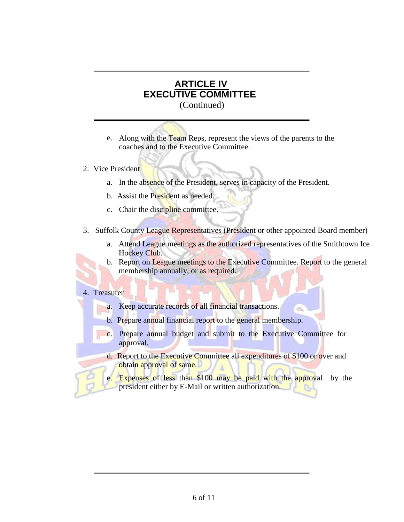- e. Along with the Team Reps, represent the views of the parents to the coaches and to the Executive Committee.
- 2. Vice President
	- a. In the absence of the President, serves in capacity of the President.
	- b. Assist the President as needed.
	- c. Chair the discipline committee.
- 3. Suffolk County League Representatives (President or other appointed Board member)
	- a. Attend League meetings as the authorized representatives of the Smithtown Ice Hockey Club.
	- b. Report on League meetings to the Executive Committee. Report to the general membership annually, or as required.

### 4. Treasurer

- a. Keep accurate records of all financial transactions.
- b. Prepare annual financial report to the general membership.
- c. Prepare annual budget and submit to the Executive Committee for approval.
- d. Report to the Executive Committee all expenditures of \$100 or over and obtain approval of same.
- e. Expenses of less than \$100 may be paid with the approval by the president either by E-Mail or written authorization.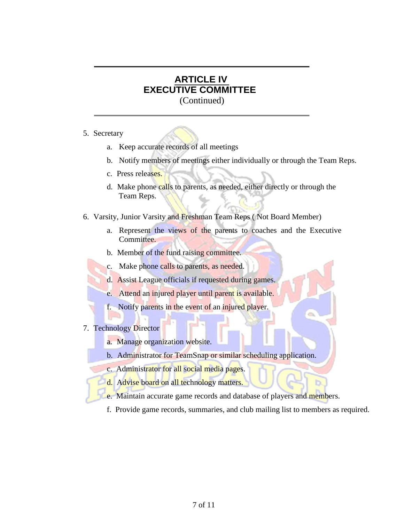- 5. Secretary
	- a. Keep accurate records of all meetings
	- b. Notify members of meetings either individually or through the Team Reps.
	- c. Press releases.
	- d. Make phone calls to parents, as needed, either directly or through the Team Reps.
- 6. Varsity, Junior Varsity and Freshman Team Reps ( Not Board Member)
	- a. Represent the views of the parents to coaches and the Executive Committee.
	- b. Member of the fund raising committee.
	- c. Make phone calls to parents, as needed.
	- d. Assist League officials if requested during games.
	- e. Attend an injured player until parent is available.
	- f. Notify parents in the event of an injured player.
- 7. Technology Director
	- a. Manage organization website.
	- b. Administrator for TeamSnap or similar scheduling application.
	- c. Administrator for all social media pages.
	- d. Advise board on all technology matters.
	- e. Maintain accurate game records and database of players and members.
	- f. Provide game records, summaries, and club mailing list to members as required.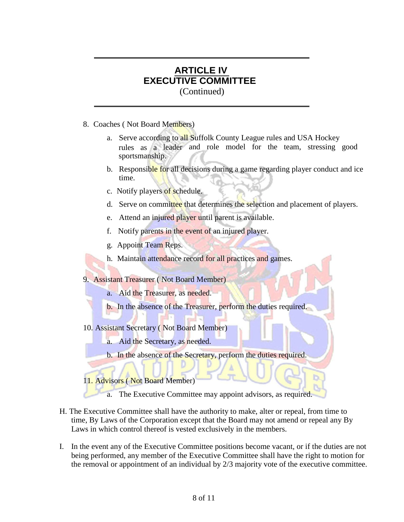- 8. Coaches ( Not Board Members)
	- rules as a leader and role model for the team, stressing good a. Serve according to all Suffolk County League rules and USA Hockey sportsmanship.
	- b. Responsible for all decisions during a game regarding player conduct and ice time.
	- c. Notify players of schedule.
	- d. Serve on committee that determines the selection and placement of players.
	- e. Attend an injured player until parent is available.
	- f. Notify parents in the event of an injured player.
	- g. Appoint Team Reps.
	- h. Maintain attendance record for all practices and games.

9. Assistant Treasurer (Not Board Member)

- a. Aid the Treasurer, as needed.
- b. In the absence of the Treasurer, perform the duties required.
- 10. Assistant Secretary ( Not Board Member)
	- a. Aid the Secretary, as needed.
	- b. In the absence of the Secretary, perform the duties required.

11. Advisors ( Not Board Member)

a. The Executive Committee may appoint advisors, as required.

- H. The Executive Committee shall have the authority to make, alter or repeal, from time to time, By Laws of the Corporation except that the Board may not amend or repeal any By Laws in which control thereof is vested exclusively in the members.
- I. In the event any of the Executive Committee positions become vacant, or if the duties are not being performed, any member of the Executive Committee shall have the right to motion for the removal or appointment of an individual by 2/3 majority vote of the executive committee.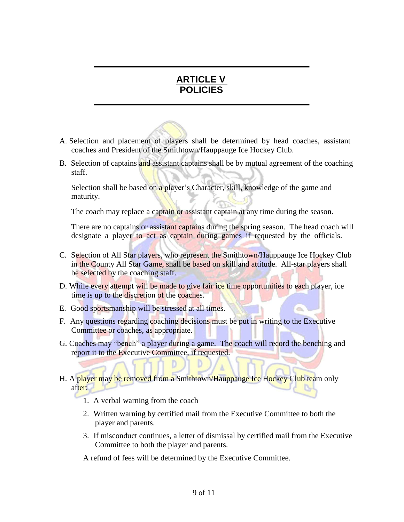## **ARTICLE V POLICIES**

- A. Selection and placement of players shall be determined by head coaches, assistant coaches and President of the Smithtown/Hauppauge Ice Hockey Club.
- B. Selection of captains and assistant captains shall be by mutual agreement of the coaching staff.

Selection shall be based on a player's Character, skill, knowledge of the game and maturity.

The coach may replace a captain or assistant captain at any time during the season.

There are no captains or assistant captains during the spring season. The head coach will designate a player to act as captain during games if requested by the officials.

- C. Selection of All Star players, who represent the Smithtown/Hauppauge Ice Hockey Club in the County All Star Game, shall be based on skill and attitude. All-star players shall be selected by the coaching staff.
- D. While every attempt will be made to give fair ice time opportunities to each player, ice time is up to the discretion of the coaches.
- E. Good sportsmanship will be stressed at all times.
- F. Any questions regarding coaching decisions must be put in writing to the Executive Committee or coaches, as appropriate.
- G. Coaches may "bench" a player during a game. The coach will record the benching and report it to the Executive Committee, if requested.
- H. A player may be removed from a Smithtown/Hauppauge Ice Hockey Club team only after:
	- 1. A verbal warning from the coach
	- 2. Written warning by certified mail from the Executive Committee to both the player and parents.
	- 3. If misconduct continues, a letter of dismissal by certified mail from the Executive Committee to both the player and parents.

A refund of fees will be determined by the Executive Committee.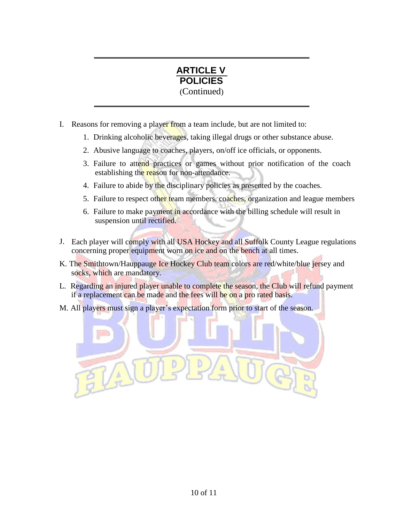

- I. Reasons for removing a player from a team include, but are not limited to:
	- 1. Drinking alcoholic beverages, taking illegal drugs or other substance abuse.
	- 2. Abusive language to coaches, players, on/off ice officials, or opponents.
	- 3. Failure to attend practices or games without prior notification of the coach establishing the reason for non-attendance.
	- 4. Failure to abide by the disciplinary policies as presented by the coaches.
	- 5. Failure to respect other team members, coaches, organization and league members
	- 6. Failure to make payment in accordance with the billing schedule will result in suspension until rectified.
- J. Each player will comply with all USA Hockey and all Suffolk County League regulations concerning proper equipment worn on ice and on the bench at all times.
- K. The Smithtown/Hauppauge Ice Hockey Club team colors are red/white/blue jersey and socks, which are mandatory.
- L. Regarding an injured player unable to complete the season, the Club will refund payment if a replacement can be made and the fees will be on a pro rated basis.
- M. All players must sign a player's expectation form prior to start of the season.